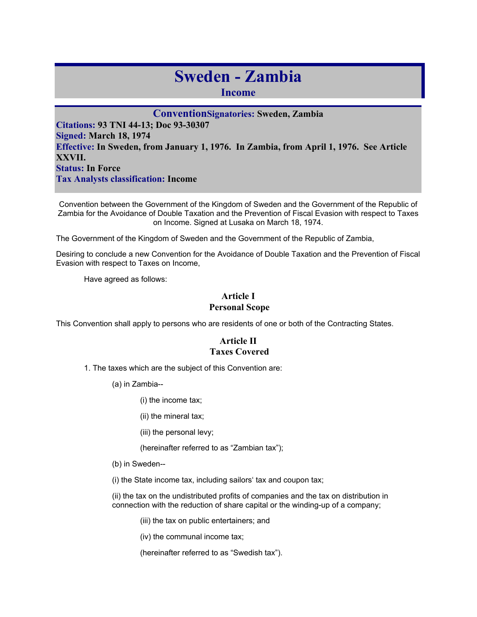# **Sweden - Zambia**

**Income** 

**ConventionSignatories: Sweden, Zambia Citations: 93 TNI 44-13; Doc 93-30307 Signed: March 18, 1974 Effective: In Sweden, from January 1, 1976. In Zambia, from April 1, 1976. See Article XXVII. Status: In Force Tax Analysts classification: Income** 

Convention between the Government of the Kingdom of Sweden and the Government of the Republic of Zambia for the Avoidance of Double Taxation and the Prevention of Fiscal Evasion with respect to Taxes on Income. Signed at Lusaka on March 18, 1974.

The Government of the Kingdom of Sweden and the Government of the Republic of Zambia,

Desiring to conclude a new Convention for the Avoidance of Double Taxation and the Prevention of Fiscal Evasion with respect to Taxes on Income,

Have agreed as follows:

# **Article I Personal Scope**

This Convention shall apply to persons who are residents of one or both of the Contracting States.

## **Article II Taxes Covered**

1. The taxes which are the subject of this Convention are:

(a) in Zambia--

(i) the income tax;

- (ii) the mineral tax;
- (iii) the personal levy;
- (hereinafter referred to as "Zambian tax");
- (b) in Sweden--
- (i) the State income tax, including sailors' tax and coupon tax;

(ii) the tax on the undistributed profits of companies and the tax on distribution in connection with the reduction of share capital or the winding-up of a company;

(iii) the tax on public entertainers; and

(iv) the communal income tax;

(hereinafter referred to as "Swedish tax").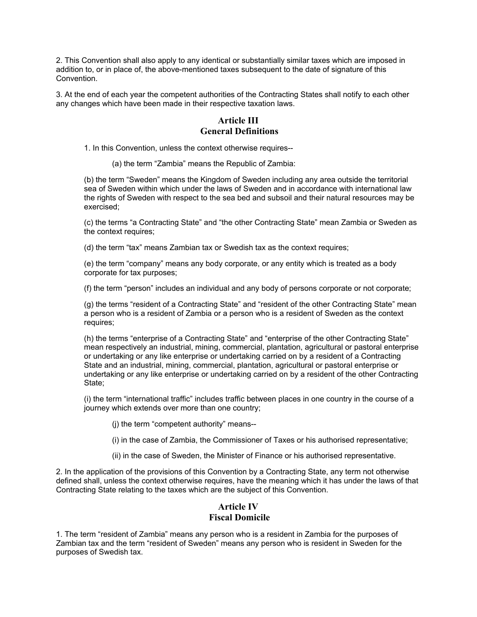2. This Convention shall also apply to any identical or substantially similar taxes which are imposed in addition to, or in place of, the above-mentioned taxes subsequent to the date of signature of this Convention.

3. At the end of each year the competent authorities of the Contracting States shall notify to each other any changes which have been made in their respective taxation laws.

#### **Article III General Definitions**

1. In this Convention, unless the context otherwise requires--

(a) the term "Zambia" means the Republic of Zambia:

(b) the term "Sweden" means the Kingdom of Sweden including any area outside the territorial sea of Sweden within which under the laws of Sweden and in accordance with international law the rights of Sweden with respect to the sea bed and subsoil and their natural resources may be exercised;

(c) the terms "a Contracting State" and "the other Contracting State" mean Zambia or Sweden as the context requires;

(d) the term "tax" means Zambian tax or Swedish tax as the context requires;

(e) the term "company" means any body corporate, or any entity which is treated as a body corporate for tax purposes;

(f) the term "person" includes an individual and any body of persons corporate or not corporate;

(g) the terms "resident of a Contracting State" and "resident of the other Contracting State" mean a person who is a resident of Zambia or a person who is a resident of Sweden as the context requires;

(h) the terms "enterprise of a Contracting State" and "enterprise of the other Contracting State" mean respectively an industrial, mining, commercial, plantation, agricultural or pastoral enterprise or undertaking or any like enterprise or undertaking carried on by a resident of a Contracting State and an industrial, mining, commercial, plantation, agricultural or pastoral enterprise or undertaking or any like enterprise or undertaking carried on by a resident of the other Contracting State:

(i) the term "international traffic" includes traffic between places in one country in the course of a journey which extends over more than one country;

(j) the term "competent authority" means--

(i) in the case of Zambia, the Commissioner of Taxes or his authorised representative;

(ii) in the case of Sweden, the Minister of Finance or his authorised representative.

2. In the application of the provisions of this Convention by a Contracting State, any term not otherwise defined shall, unless the context otherwise requires, have the meaning which it has under the laws of that Contracting State relating to the taxes which are the subject of this Convention.

## **Article IV Fiscal Domicile**

1. The term "resident of Zambia" means any person who is a resident in Zambia for the purposes of Zambian tax and the term "resident of Sweden" means any person who is resident in Sweden for the purposes of Swedish tax.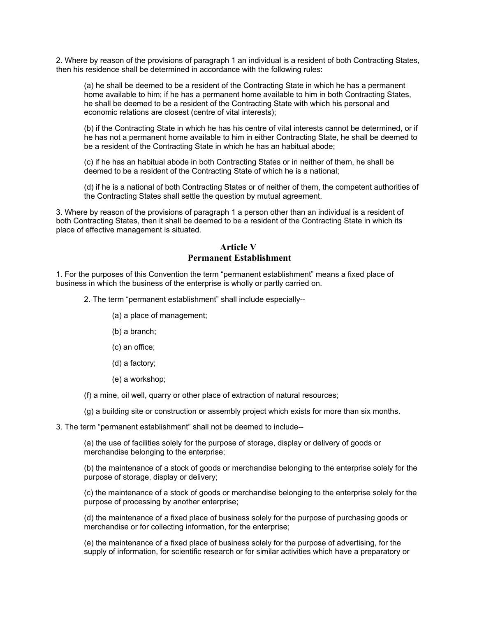2. Where by reason of the provisions of paragraph 1 an individual is a resident of both Contracting States, then his residence shall be determined in accordance with the following rules:

(a) he shall be deemed to be a resident of the Contracting State in which he has a permanent home available to him; if he has a permanent home available to him in both Contracting States, he shall be deemed to be a resident of the Contracting State with which his personal and economic relations are closest (centre of vital interests);

(b) if the Contracting State in which he has his centre of vital interests cannot be determined, or if he has not a permanent home available to him in either Contracting State, he shall be deemed to be a resident of the Contracting State in which he has an habitual abode;

(c) if he has an habitual abode in both Contracting States or in neither of them, he shall be deemed to be a resident of the Contracting State of which he is a national;

(d) if he is a national of both Contracting States or of neither of them, the competent authorities of the Contracting States shall settle the question by mutual agreement.

3. Where by reason of the provisions of paragraph 1 a person other than an individual is a resident of both Contracting States, then it shall be deemed to be a resident of the Contracting State in which its place of effective management is situated.

#### **Article V Permanent Establishment**

1. For the purposes of this Convention the term "permanent establishment" means a fixed place of business in which the business of the enterprise is wholly or partly carried on.

2. The term "permanent establishment" shall include especially--

(a) a place of management;

- (b) a branch;
- (c) an office;
- (d) a factory;
- (e) a workshop;

(f) a mine, oil well, quarry or other place of extraction of natural resources;

(g) a building site or construction or assembly project which exists for more than six months.

3. The term "permanent establishment" shall not be deemed to include--

(a) the use of facilities solely for the purpose of storage, display or delivery of goods or merchandise belonging to the enterprise;

(b) the maintenance of a stock of goods or merchandise belonging to the enterprise solely for the purpose of storage, display or delivery;

(c) the maintenance of a stock of goods or merchandise belonging to the enterprise solely for the purpose of processing by another enterprise;

(d) the maintenance of a fixed place of business solely for the purpose of purchasing goods or merchandise or for collecting information, for the enterprise;

(e) the maintenance of a fixed place of business solely for the purpose of advertising, for the supply of information, for scientific research or for similar activities which have a preparatory or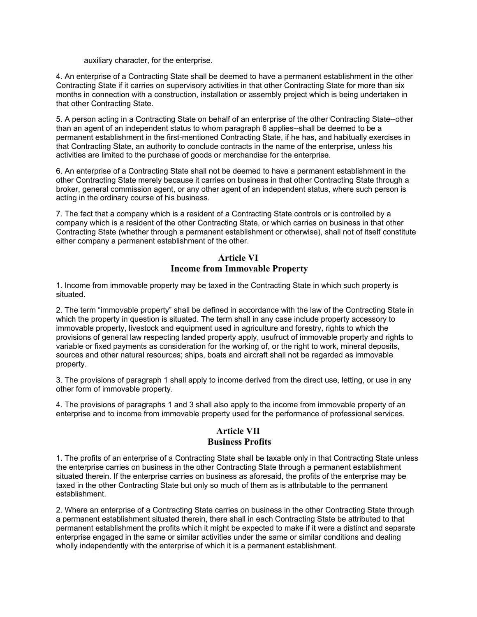auxiliary character, for the enterprise.

4. An enterprise of a Contracting State shall be deemed to have a permanent establishment in the other Contracting State if it carries on supervisory activities in that other Contracting State for more than six months in connection with a construction, installation or assembly project which is being undertaken in that other Contracting State.

5. A person acting in a Contracting State on behalf of an enterprise of the other Contracting State--other than an agent of an independent status to whom paragraph 6 applies--shall be deemed to be a permanent establishment in the first-mentioned Contracting State, if he has, and habitually exercises in that Contracting State, an authority to conclude contracts in the name of the enterprise, unless his activities are limited to the purchase of goods or merchandise for the enterprise.

6. An enterprise of a Contracting State shall not be deemed to have a permanent establishment in the other Contracting State merely because it carries on business in that other Contracting State through a broker, general commission agent, or any other agent of an independent status, where such person is acting in the ordinary course of his business.

7. The fact that a company which is a resident of a Contracting State controls or is controlled by a company which is a resident of the other Contracting State, or which carries on business in that other Contracting State (whether through a permanent establishment or otherwise), shall not of itself constitute either company a permanent establishment of the other.

#### **Article VI Income from Immovable Property**

1. Income from immovable property may be taxed in the Contracting State in which such property is situated.

2. The term "immovable property" shall be defined in accordance with the law of the Contracting State in which the property in question is situated. The term shall in any case include property accessory to immovable property, livestock and equipment used in agriculture and forestry, rights to which the provisions of general law respecting landed property apply, usufruct of immovable property and rights to variable or fixed payments as consideration for the working of, or the right to work, mineral deposits, sources and other natural resources; ships, boats and aircraft shall not be regarded as immovable property.

3. The provisions of paragraph 1 shall apply to income derived from the direct use, letting, or use in any other form of immovable property.

4. The provisions of paragraphs 1 and 3 shall also apply to the income from immovable property of an enterprise and to income from immovable property used for the performance of professional services.

#### **Article VII Business Profits**

1. The profits of an enterprise of a Contracting State shall be taxable only in that Contracting State unless the enterprise carries on business in the other Contracting State through a permanent establishment situated therein. If the enterprise carries on business as aforesaid, the profits of the enterprise may be taxed in the other Contracting State but only so much of them as is attributable to the permanent establishment.

2. Where an enterprise of a Contracting State carries on business in the other Contracting State through a permanent establishment situated therein, there shall in each Contracting State be attributed to that permanent establishment the profits which it might be expected to make if it were a distinct and separate enterprise engaged in the same or similar activities under the same or similar conditions and dealing wholly independently with the enterprise of which it is a permanent establishment.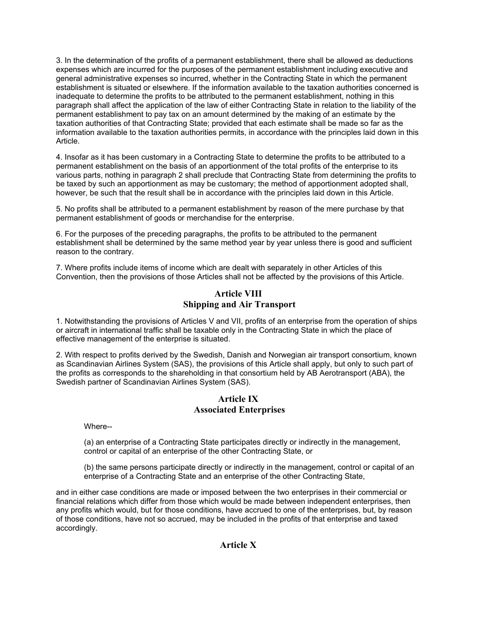3. In the determination of the profits of a permanent establishment, there shall be allowed as deductions expenses which are incurred for the purposes of the permanent establishment including executive and general administrative expenses so incurred, whether in the Contracting State in which the permanent establishment is situated or elsewhere. If the information available to the taxation authorities concerned is inadequate to determine the profits to be attributed to the permanent establishment, nothing in this paragraph shall affect the application of the law of either Contracting State in relation to the liability of the permanent establishment to pay tax on an amount determined by the making of an estimate by the taxation authorities of that Contracting State; provided that each estimate shall be made so far as the information available to the taxation authorities permits, in accordance with the principles laid down in this Article.

4. Insofar as it has been customary in a Contracting State to determine the profits to be attributed to a permanent establishment on the basis of an apportionment of the total profits of the enterprise to its various parts, nothing in paragraph 2 shall preclude that Contracting State from determining the profits to be taxed by such an apportionment as may be customary; the method of apportionment adopted shall, however, be such that the result shall be in accordance with the principles laid down in this Article.

5. No profits shall be attributed to a permanent establishment by reason of the mere purchase by that permanent establishment of goods or merchandise for the enterprise.

6. For the purposes of the preceding paragraphs, the profits to be attributed to the permanent establishment shall be determined by the same method year by year unless there is good and sufficient reason to the contrary.

7. Where profits include items of income which are dealt with separately in other Articles of this Convention, then the provisions of those Articles shall not be affected by the provisions of this Article.

#### **Article VIII Shipping and Air Transport**

1. Notwithstanding the provisions of Articles V and VII, profits of an enterprise from the operation of ships or aircraft in international traffic shall be taxable only in the Contracting State in which the place of effective management of the enterprise is situated.

2. With respect to profits derived by the Swedish, Danish and Norwegian air transport consortium, known as Scandinavian Airlines System (SAS), the provisions of this Article shall apply, but only to such part of the profits as corresponds to the shareholding in that consortium held by AB Aerotransport (ABA), the Swedish partner of Scandinavian Airlines System (SAS).

#### **Article IX Associated Enterprises**

Where--

(a) an enterprise of a Contracting State participates directly or indirectly in the management, control or capital of an enterprise of the other Contracting State, or

(b) the same persons participate directly or indirectly in the management, control or capital of an enterprise of a Contracting State and an enterprise of the other Contracting State,

and in either case conditions are made or imposed between the two enterprises in their commercial or financial relations which differ from those which would be made between independent enterprises, then any profits which would, but for those conditions, have accrued to one of the enterprises, but, by reason of those conditions, have not so accrued, may be included in the profits of that enterprise and taxed accordingly.

## **Article X**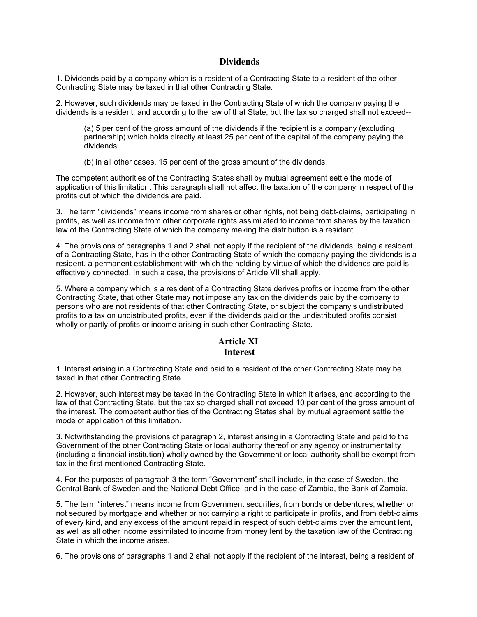#### **Dividends**

1. Dividends paid by a company which is a resident of a Contracting State to a resident of the other Contracting State may be taxed in that other Contracting State.

2. However, such dividends may be taxed in the Contracting State of which the company paying the dividends is a resident, and according to the law of that State, but the tax so charged shall not exceed--

(a) 5 per cent of the gross amount of the dividends if the recipient is a company (excluding partnership) which holds directly at least 25 per cent of the capital of the company paying the dividends;

(b) in all other cases, 15 per cent of the gross amount of the dividends.

The competent authorities of the Contracting States shall by mutual agreement settle the mode of application of this limitation. This paragraph shall not affect the taxation of the company in respect of the profits out of which the dividends are paid.

3. The term "dividends" means income from shares or other rights, not being debt-claims, participating in profits, as well as income from other corporate rights assimilated to income from shares by the taxation law of the Contracting State of which the company making the distribution is a resident.

4. The provisions of paragraphs 1 and 2 shall not apply if the recipient of the dividends, being a resident of a Contracting State, has in the other Contracting State of which the company paying the dividends is a resident, a permanent establishment with which the holding by virtue of which the dividends are paid is effectively connected. In such a case, the provisions of Article VII shall apply.

5. Where a company which is a resident of a Contracting State derives profits or income from the other Contracting State, that other State may not impose any tax on the dividends paid by the company to persons who are not residents of that other Contracting State, or subject the company's undistributed profits to a tax on undistributed profits, even if the dividends paid or the undistributed profits consist wholly or partly of profits or income arising in such other Contracting State.

#### **Article XI Interest**

1. Interest arising in a Contracting State and paid to a resident of the other Contracting State may be taxed in that other Contracting State.

2. However, such interest may be taxed in the Contracting State in which it arises, and according to the law of that Contracting State, but the tax so charged shall not exceed 10 per cent of the gross amount of the interest. The competent authorities of the Contracting States shall by mutual agreement settle the mode of application of this limitation.

3. Notwithstanding the provisions of paragraph 2, interest arising in a Contracting State and paid to the Government of the other Contracting State or local authority thereof or any agency or instrumentality (including a financial institution) wholly owned by the Government or local authority shall be exempt from tax in the first-mentioned Contracting State.

4. For the purposes of paragraph 3 the term "Government" shall include, in the case of Sweden, the Central Bank of Sweden and the National Debt Office, and in the case of Zambia, the Bank of Zambia.

5. The term "interest" means income from Government securities, from bonds or debentures, whether or not secured by mortgage and whether or not carrying a right to participate in profits, and from debt-claims of every kind, and any excess of the amount repaid in respect of such debt-claims over the amount lent, as well as all other income assimilated to income from money lent by the taxation law of the Contracting State in which the income arises.

6. The provisions of paragraphs 1 and 2 shall not apply if the recipient of the interest, being a resident of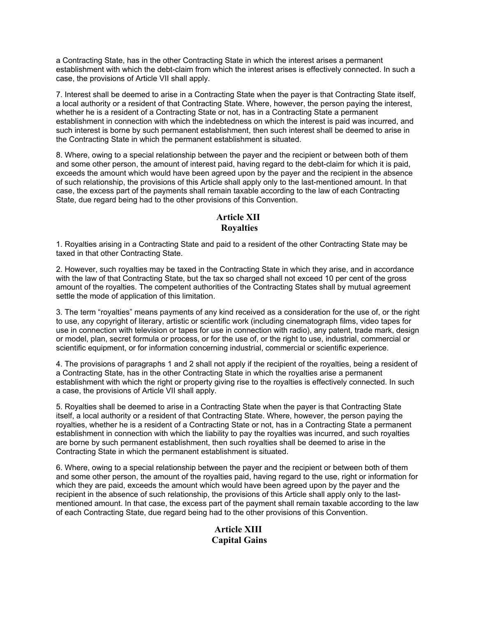a Contracting State, has in the other Contracting State in which the interest arises a permanent establishment with which the debt-claim from which the interest arises is effectively connected. In such a case, the provisions of Article VII shall apply.

7. Interest shall be deemed to arise in a Contracting State when the payer is that Contracting State itself, a local authority or a resident of that Contracting State. Where, however, the person paying the interest, whether he is a resident of a Contracting State or not, has in a Contracting State a permanent establishment in connection with which the indebtedness on which the interest is paid was incurred, and such interest is borne by such permanent establishment, then such interest shall be deemed to arise in the Contracting State in which the permanent establishment is situated.

8. Where, owing to a special relationship between the payer and the recipient or between both of them and some other person, the amount of interest paid, having regard to the debt-claim for which it is paid, exceeds the amount which would have been agreed upon by the payer and the recipient in the absence of such relationship, the provisions of this Article shall apply only to the last-mentioned amount. In that case, the excess part of the payments shall remain taxable according to the law of each Contracting State, due regard being had to the other provisions of this Convention.

## **Article XII Royalties**

1. Royalties arising in a Contracting State and paid to a resident of the other Contracting State may be taxed in that other Contracting State.

2. However, such royalties may be taxed in the Contracting State in which they arise, and in accordance with the law of that Contracting State, but the tax so charged shall not exceed 10 per cent of the gross amount of the royalties. The competent authorities of the Contracting States shall by mutual agreement settle the mode of application of this limitation.

3. The term "royalties" means payments of any kind received as a consideration for the use of, or the right to use, any copyright of literary, artistic or scientific work (including cinematograph films, video tapes for use in connection with television or tapes for use in connection with radio), any patent, trade mark, design or model, plan, secret formula or process, or for the use of, or the right to use, industrial, commercial or scientific equipment, or for information concerning industrial, commercial or scientific experience.

4. The provisions of paragraphs 1 and 2 shall not apply if the recipient of the royalties, being a resident of a Contracting State, has in the other Contracting State in which the royalties arise a permanent establishment with which the right or property giving rise to the royalties is effectively connected. In such a case, the provisions of Article VII shall apply.

5. Royalties shall be deemed to arise in a Contracting State when the payer is that Contracting State itself, a local authority or a resident of that Contracting State. Where, however, the person paying the royalties, whether he is a resident of a Contracting State or not, has in a Contracting State a permanent establishment in connection with which the liability to pay the royalties was incurred, and such royalties are borne by such permanent establishment, then such royalties shall be deemed to arise in the Contracting State in which the permanent establishment is situated.

6. Where, owing to a special relationship between the payer and the recipient or between both of them and some other person, the amount of the royalties paid, having regard to the use, right or information for which they are paid, exceeds the amount which would have been agreed upon by the payer and the recipient in the absence of such relationship, the provisions of this Article shall apply only to the lastmentioned amount. In that case, the excess part of the payment shall remain taxable according to the law of each Contracting State, due regard being had to the other provisions of this Convention.

## **Article XIII Capital Gains**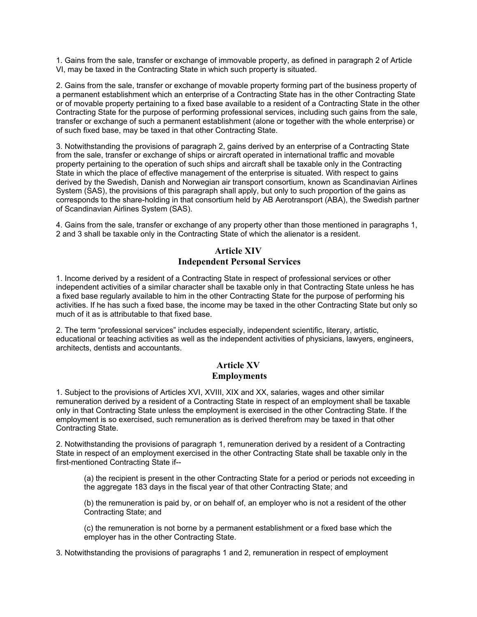1. Gains from the sale, transfer or exchange of immovable property, as defined in paragraph 2 of Article VI, may be taxed in the Contracting State in which such property is situated.

2. Gains from the sale, transfer or exchange of movable property forming part of the business property of a permanent establishment which an enterprise of a Contracting State has in the other Contracting State or of movable property pertaining to a fixed base available to a resident of a Contracting State in the other Contracting State for the purpose of performing professional services, including such gains from the sale, transfer or exchange of such a permanent establishment (alone or together with the whole enterprise) or of such fixed base, may be taxed in that other Contracting State.

3. Notwithstanding the provisions of paragraph 2, gains derived by an enterprise of a Contracting State from the sale, transfer or exchange of ships or aircraft operated in international traffic and movable property pertaining to the operation of such ships and aircraft shall be taxable only in the Contracting State in which the place of effective management of the enterprise is situated. With respect to gains derived by the Swedish, Danish and Norwegian air transport consortium, known as Scandinavian Airlines System (SAS), the provisions of this paragraph shall apply, but only to such proportion of the gains as corresponds to the share-holding in that consortium held by AB Aerotransport (ABA), the Swedish partner of Scandinavian Airlines System (SAS).

4. Gains from the sale, transfer or exchange of any property other than those mentioned in paragraphs 1, 2 and 3 shall be taxable only in the Contracting State of which the alienator is a resident.

#### **Article XIV Independent Personal Services**

1. Income derived by a resident of a Contracting State in respect of professional services or other independent activities of a similar character shall be taxable only in that Contracting State unless he has a fixed base regularly available to him in the other Contracting State for the purpose of performing his activities. If he has such a fixed base, the income may be taxed in the other Contracting State but only so much of it as is attributable to that fixed base.

2. The term "professional services" includes especially, independent scientific, literary, artistic, educational or teaching activities as well as the independent activities of physicians, lawyers, engineers, architects, dentists and accountants.

## **Article XV Employments**

1. Subject to the provisions of Articles XVI, XVIII, XIX and XX, salaries, wages and other similar remuneration derived by a resident of a Contracting State in respect of an employment shall be taxable only in that Contracting State unless the employment is exercised in the other Contracting State. If the employment is so exercised, such remuneration as is derived therefrom may be taxed in that other Contracting State.

2. Notwithstanding the provisions of paragraph 1, remuneration derived by a resident of a Contracting State in respect of an employment exercised in the other Contracting State shall be taxable only in the first-mentioned Contracting State if--

(a) the recipient is present in the other Contracting State for a period or periods not exceeding in the aggregate 183 days in the fiscal year of that other Contracting State; and

(b) the remuneration is paid by, or on behalf of, an employer who is not a resident of the other Contracting State; and

(c) the remuneration is not borne by a permanent establishment or a fixed base which the employer has in the other Contracting State.

3. Notwithstanding the provisions of paragraphs 1 and 2, remuneration in respect of employment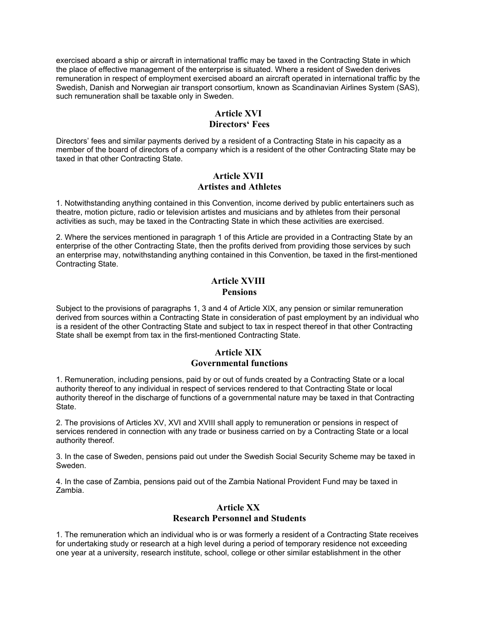exercised aboard a ship or aircraft in international traffic may be taxed in the Contracting State in which the place of effective management of the enterprise is situated. Where a resident of Sweden derives remuneration in respect of employment exercised aboard an aircraft operated in international traffic by the Swedish, Danish and Norwegian air transport consortium, known as Scandinavian Airlines System (SAS), such remuneration shall be taxable only in Sweden.

## **Article XVI**

#### **Directors' Fees**

Directors' fees and similar payments derived by a resident of a Contracting State in his capacity as a member of the board of directors of a company which is a resident of the other Contracting State may be taxed in that other Contracting State.

## **Article XVII Artistes and Athletes**

1. Notwithstanding anything contained in this Convention, income derived by public entertainers such as theatre, motion picture, radio or television artistes and musicians and by athletes from their personal activities as such, may be taxed in the Contracting State in which these activities are exercised.

2. Where the services mentioned in paragraph 1 of this Article are provided in a Contracting State by an enterprise of the other Contracting State, then the profits derived from providing those services by such an enterprise may, notwithstanding anything contained in this Convention, be taxed in the first-mentioned Contracting State.

#### **Article XVIII Pensions**

Subject to the provisions of paragraphs 1, 3 and 4 of Article XIX, any pension or similar remuneration derived from sources within a Contracting State in consideration of past employment by an individual who is a resident of the other Contracting State and subject to tax in respect thereof in that other Contracting State shall be exempt from tax in the first-mentioned Contracting State.

#### **Article XIX Governmental functions**

1. Remuneration, including pensions, paid by or out of funds created by a Contracting State or a local authority thereof to any individual in respect of services rendered to that Contracting State or local authority thereof in the discharge of functions of a governmental nature may be taxed in that Contracting State.

2. The provisions of Articles XV, XVI and XVIII shall apply to remuneration or pensions in respect of services rendered in connection with any trade or business carried on by a Contracting State or a local authority thereof.

3. In the case of Sweden, pensions paid out under the Swedish Social Security Scheme may be taxed in Sweden.

4. In the case of Zambia, pensions paid out of the Zambia National Provident Fund may be taxed in Zambia.

## **Article XX Research Personnel and Students**

1. The remuneration which an individual who is or was formerly a resident of a Contracting State receives for undertaking study or research at a high level during a period of temporary residence not exceeding one year at a university, research institute, school, college or other similar establishment in the other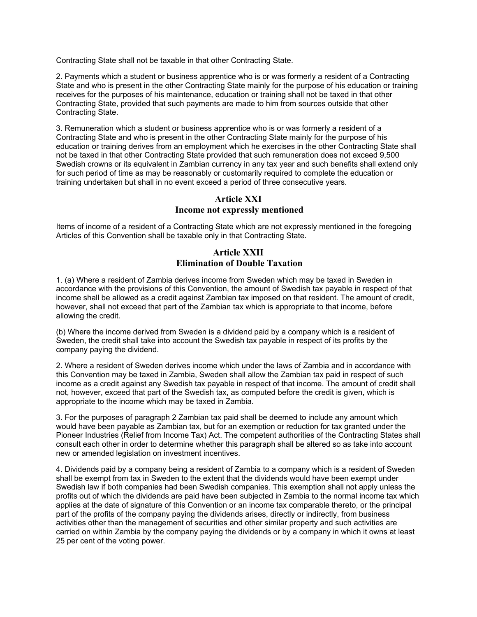Contracting State shall not be taxable in that other Contracting State.

2. Payments which a student or business apprentice who is or was formerly a resident of a Contracting State and who is present in the other Contracting State mainly for the purpose of his education or training receives for the purposes of his maintenance, education or training shall not be taxed in that other Contracting State, provided that such payments are made to him from sources outside that other Contracting State.

3. Remuneration which a student or business apprentice who is or was formerly a resident of a Contracting State and who is present in the other Contracting State mainly for the purpose of his education or training derives from an employment which he exercises in the other Contracting State shall not be taxed in that other Contracting State provided that such remuneration does not exceed 9,500 Swedish crowns or its equivalent in Zambian currency in any tax year and such benefits shall extend only for such period of time as may be reasonably or customarily required to complete the education or training undertaken but shall in no event exceed a period of three consecutive years.

# **Article XXI Income not expressly mentioned**

Items of income of a resident of a Contracting State which are not expressly mentioned in the foregoing Articles of this Convention shall be taxable only in that Contracting State.

## **Article XXII Elimination of Double Taxation**

1. (a) Where a resident of Zambia derives income from Sweden which may be taxed in Sweden in accordance with the provisions of this Convention, the amount of Swedish tax payable in respect of that income shall be allowed as a credit against Zambian tax imposed on that resident. The amount of credit, however, shall not exceed that part of the Zambian tax which is appropriate to that income, before allowing the credit.

(b) Where the income derived from Sweden is a dividend paid by a company which is a resident of Sweden, the credit shall take into account the Swedish tax payable in respect of its profits by the company paying the dividend.

2. Where a resident of Sweden derives income which under the laws of Zambia and in accordance with this Convention may be taxed in Zambia, Sweden shall allow the Zambian tax paid in respect of such income as a credit against any Swedish tax payable in respect of that income. The amount of credit shall not, however, exceed that part of the Swedish tax, as computed before the credit is given, which is appropriate to the income which may be taxed in Zambia.

3. For the purposes of paragraph 2 Zambian tax paid shall be deemed to include any amount which would have been payable as Zambian tax, but for an exemption or reduction for tax granted under the Pioneer Industries (Relief from Income Tax) Act. The competent authorities of the Contracting States shall consult each other in order to determine whether this paragraph shall be altered so as take into account new or amended legislation on investment incentives.

4. Dividends paid by a company being a resident of Zambia to a company which is a resident of Sweden shall be exempt from tax in Sweden to the extent that the dividends would have been exempt under Swedish law if both companies had been Swedish companies. This exemption shall not apply unless the profits out of which the dividends are paid have been subjected in Zambia to the normal income tax which applies at the date of signature of this Convention or an income tax comparable thereto, or the principal part of the profits of the company paying the dividends arises, directly or indirectly, from business activities other than the management of securities and other similar property and such activities are carried on within Zambia by the company paying the dividends or by a company in which it owns at least 25 per cent of the voting power.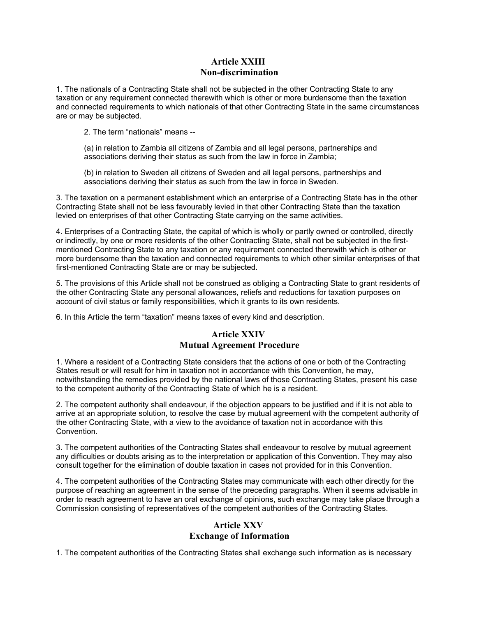## **Article XXIII Non-discrimination**

1. The nationals of a Contracting State shall not be subjected in the other Contracting State to any taxation or any requirement connected therewith which is other or more burdensome than the taxation and connected requirements to which nationals of that other Contracting State in the same circumstances are or may be subjected.

2. The term "nationals" means --

(a) in relation to Zambia all citizens of Zambia and all legal persons, partnerships and associations deriving their status as such from the law in force in Zambia;

(b) in relation to Sweden all citizens of Sweden and all legal persons, partnerships and associations deriving their status as such from the law in force in Sweden.

3. The taxation on a permanent establishment which an enterprise of a Contracting State has in the other Contracting State shall not be less favourably levied in that other Contracting State than the taxation levied on enterprises of that other Contracting State carrying on the same activities.

4. Enterprises of a Contracting State, the capital of which is wholly or partly owned or controlled, directly or indirectly, by one or more residents of the other Contracting State, shall not be subjected in the firstmentioned Contracting State to any taxation or any requirement connected therewith which is other or more burdensome than the taxation and connected requirements to which other similar enterprises of that first-mentioned Contracting State are or may be subjected.

5. The provisions of this Article shall not be construed as obliging a Contracting State to grant residents of the other Contracting State any personal allowances, reliefs and reductions for taxation purposes on account of civil status or family responsibilities, which it grants to its own residents.

6. In this Article the term "taxation" means taxes of every kind and description.

# **Article XXIV Mutual Agreement Procedure**

1. Where a resident of a Contracting State considers that the actions of one or both of the Contracting States result or will result for him in taxation not in accordance with this Convention, he may, notwithstanding the remedies provided by the national laws of those Contracting States, present his case to the competent authority of the Contracting State of which he is a resident.

2. The competent authority shall endeavour, if the objection appears to be justified and if it is not able to arrive at an appropriate solution, to resolve the case by mutual agreement with the competent authority of the other Contracting State, with a view to the avoidance of taxation not in accordance with this Convention.

3. The competent authorities of the Contracting States shall endeavour to resolve by mutual agreement any difficulties or doubts arising as to the interpretation or application of this Convention. They may also consult together for the elimination of double taxation in cases not provided for in this Convention.

4. The competent authorities of the Contracting States may communicate with each other directly for the purpose of reaching an agreement in the sense of the preceding paragraphs. When it seems advisable in order to reach agreement to have an oral exchange of opinions, such exchange may take place through a Commission consisting of representatives of the competent authorities of the Contracting States.

# **Article XXV**

## **Exchange of Information**

1. The competent authorities of the Contracting States shall exchange such information as is necessary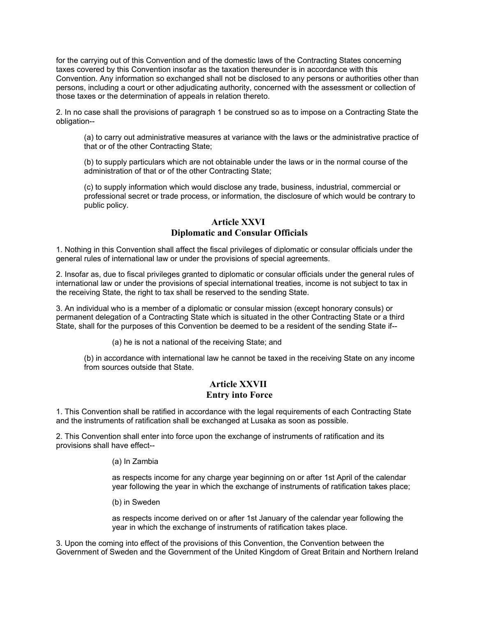for the carrying out of this Convention and of the domestic laws of the Contracting States concerning taxes covered by this Convention insofar as the taxation thereunder is in accordance with this Convention. Any information so exchanged shall not be disclosed to any persons or authorities other than persons, including a court or other adjudicating authority, concerned with the assessment or collection of those taxes or the determination of appeals in relation thereto.

2. In no case shall the provisions of paragraph 1 be construed so as to impose on a Contracting State the obligation--

(a) to carry out administrative measures at variance with the laws or the administrative practice of that or of the other Contracting State;

(b) to supply particulars which are not obtainable under the laws or in the normal course of the administration of that or of the other Contracting State;

(c) to supply information which would disclose any trade, business, industrial, commercial or professional secret or trade process, or information, the disclosure of which would be contrary to public policy.

#### **Article XXVI Diplomatic and Consular Officials**

1. Nothing in this Convention shall affect the fiscal privileges of diplomatic or consular officials under the general rules of international law or under the provisions of special agreements.

2. Insofar as, due to fiscal privileges granted to diplomatic or consular officials under the general rules of international law or under the provisions of special international treaties, income is not subject to tax in the receiving State, the right to tax shall be reserved to the sending State.

3. An individual who is a member of a diplomatic or consular mission (except honorary consuls) or permanent delegation of a Contracting State which is situated in the other Contracting State or a third State, shall for the purposes of this Convention be deemed to be a resident of the sending State if--

(a) he is not a national of the receiving State; and

(b) in accordance with international law he cannot be taxed in the receiving State on any income from sources outside that State.

#### **Article XXVII Entry into Force**

1. This Convention shall be ratified in accordance with the legal requirements of each Contracting State and the instruments of ratification shall be exchanged at Lusaka as soon as possible.

2. This Convention shall enter into force upon the exchange of instruments of ratification and its provisions shall have effect--

#### (a) In Zambia

as respects income for any charge year beginning on or after 1st April of the calendar year following the year in which the exchange of instruments of ratification takes place;

(b) in Sweden

as respects income derived on or after 1st January of the calendar year following the year in which the exchange of instruments of ratification takes place.

3. Upon the coming into effect of the provisions of this Convention, the Convention between the Government of Sweden and the Government of the United Kingdom of Great Britain and Northern Ireland